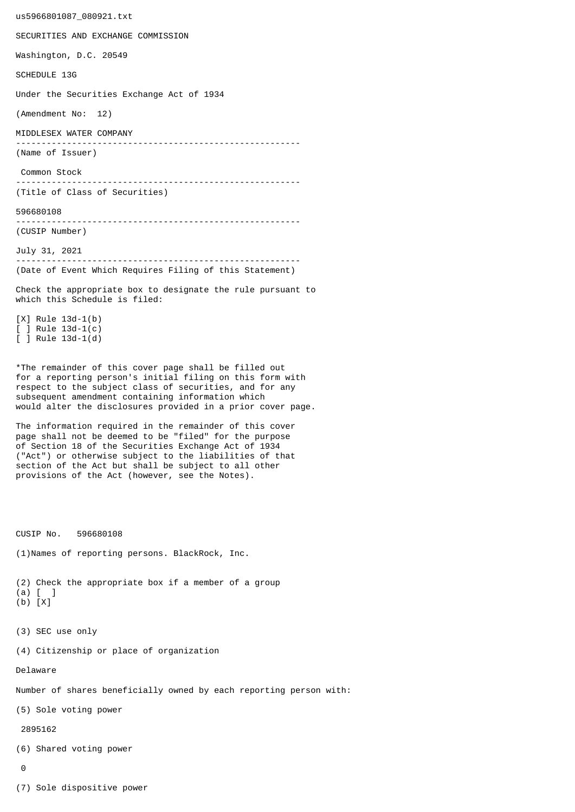us5966801087\_080921.txt SECURITIES AND EXCHANGE COMMISSION Washington, D.C. 20549 SCHEDULE 13G Under the Securities Exchange Act of 1934 (Amendment No: 12) MIDDLESEX WATER COMPANY -------------------------------------------------------- (Name of Issuer) Common Stock -------------------------------------------------------- (Title of Class of Securities) 596680108 -------------------------------------------------------- (CUSIP Number) July 31, 2021 -------------------------------------------------------- (Date of Event Which Requires Filing of this Statement) Check the appropriate box to designate the rule pursuant to which this Schedule is filed: [X] Rule 13d-1(b) [ ] Rule 13d-1(c) [ ] Rule 13d-1(d) \*The remainder of this cover page shall be filled out for a reporting person's initial filing on this form with respect to the subject class of securities, and for any subsequent amendment containing information which would alter the disclosures provided in a prior cover page. The information required in the remainder of this cover page shall not be deemed to be "filed" for the purpose of Section 18 of the Securities Exchange Act of 1934 ("Act") or otherwise subject to the liabilities of that section of the Act but shall be subject to all other provisions of the Act (however, see the Notes). CUSIP No. 596680108 (1)Names of reporting persons. BlackRock, Inc. (2) Check the appropriate box if a member of a group (a) [ ] (b) [X] (3) SEC use only (4) Citizenship or place of organization Delaware Number of shares beneficially owned by each reporting person with: (5) Sole voting power 2895162 (6) Shared voting power  $\Omega$ 

(7) Sole dispositive power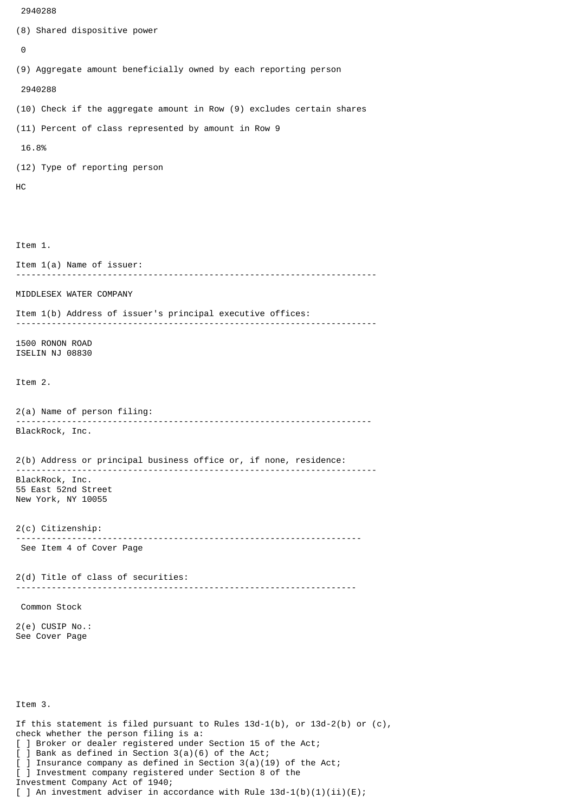```
 2940288
```

```
(8) Shared dispositive power
 \boldsymbol{\Theta}(9) Aggregate amount beneficially owned by each reporting person
  2940288
(10) Check if the aggregate amount in Row (9) excludes certain shares
(11) Percent of class represented by amount in Row 9
 16.8%
(12) Type of reporting person
HC
Item 1.
Item 1(a) Name of issuer:
           -----------------------------------------------------------------------
MIDDLESEX WATER COMPANY
Item 1(b) Address of issuer's principal executive offices:
-----------------------------------------------------------------------
1500 RONON ROAD
ISELIN NJ 08830
Item 2.
2(a) Name of person filing:
               ----------------------------------------------------------------------
BlackRock, Inc.
2(b) Address or principal business office or, if none, residence:
 -----------------------------------------------------------------------
BlackRock, Inc.
55 East 52nd Street
New York, NY 10055
2(c) Citizenship:
                            --------------------------------------------------------------------
 See Item 4 of Cover Page
2(d) Title of class of securities:
                                      -------------------------------------------------------------------
 Common Stock
2(e) CUSIP No.:
See Cover Page
Item 3.
If this statement is filed pursuant to Rules 13d-1(b), or 13d-2(b) or (c),
check whether the person filing is a:
[ ] Broker or dealer registered under Section 15 of the Act;
[ ] Bank as defined in Section 3(a)(6) of the Act;
  ] Insurance company as defined in Section 3(a)(19) of the Act;
[ ] Investment company registered under Section 8 of the
```
Investment Company Act of 1940;

<sup>[ ]</sup> An investment adviser in accordance with Rule  $13d-1(b)(1)(ii)(E)$ ;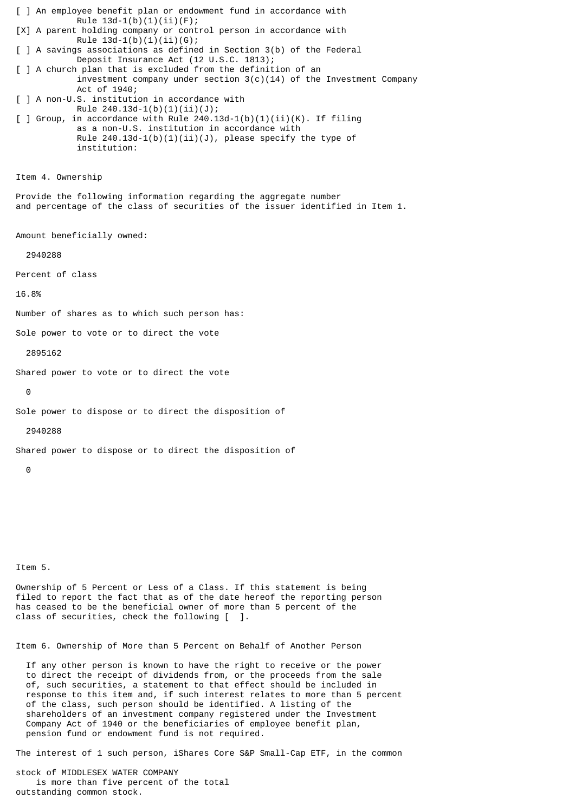[ ] An employee benefit plan or endowment fund in accordance with Rule  $13d-1(b)(1)(ii)(F);$ [X] A parent holding company or control person in accordance with Rule  $13d-1(b)(1)(ii)(G);$ [ ] A savings associations as defined in Section 3(b) of the Federal Deposit Insurance Act (12 U.S.C. 1813); [ ] A church plan that is excluded from the definition of an investment company under section  $3(c)(14)$  of the Investment Company Act of 1940; [ ] A non-U.S. institution in accordance with Rule 240.13d-1(b)(1)(ii)(J);  $\lceil$  ] Group, in accordance with Rule 240.13d-1(b)(1)(ii)(K). If filing as a non-U.S. institution in accordance with Rule  $240.13d-1(b)(1)(ii)(J)$ , please specify the type of institution: Item 4. Ownership Provide the following information regarding the aggregate number and percentage of the class of securities of the issuer identified in Item 1. Amount beneficially owned: 2940288 Percent of class 16.8% Number of shares as to which such person has: Sole power to vote or to direct the vote 2895162 Shared power to vote or to direct the vote  $\Theta$ Sole power to dispose or to direct the disposition of 2940288 Shared power to dispose or to direct the disposition of  $\Omega$ 

Item 5.

Ownership of 5 Percent or Less of a Class. If this statement is being filed to report the fact that as of the date hereof the reporting person has ceased to be the beneficial owner of more than 5 percent of the class of securities, check the following [ ].

Item 6. Ownership of More than 5 Percent on Behalf of Another Person

 If any other person is known to have the right to receive or the power to direct the receipt of dividends from, or the proceeds from the sale of, such securities, a statement to that effect should be included in response to this item and, if such interest relates to more than 5 percent of the class, such person should be identified. A listing of the shareholders of an investment company registered under the Investment Company Act of 1940 or the beneficiaries of employee benefit plan, pension fund or endowment fund is not required.

The interest of 1 such person, iShares Core S&P Small-Cap ETF, in the common

stock of MIDDLESEX WATER COMPANY is more than five percent of the total outstanding common stock.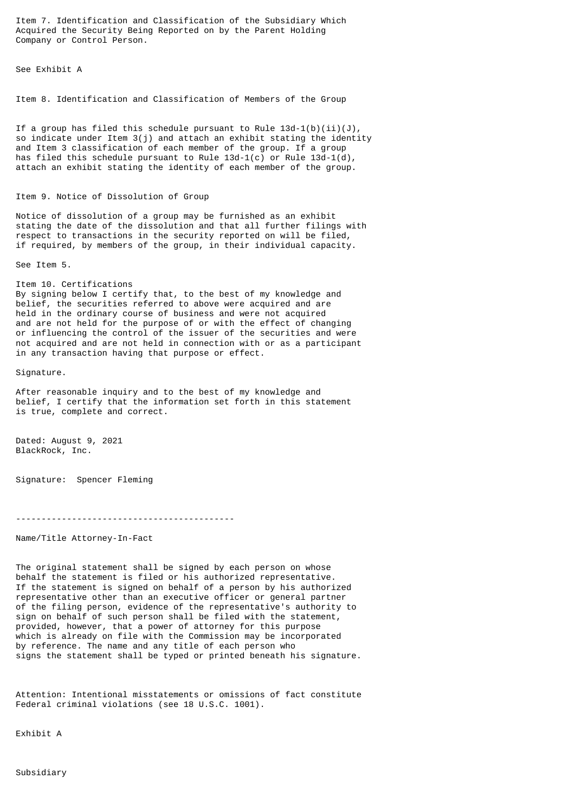Item 7. Identification and Classification of the Subsidiary Which Acquired the Security Being Reported on by the Parent Holding Company or Control Person.

## See Exhibit A

Item 8. Identification and Classification of Members of the Group

If a group has filed this schedule pursuant to Rule  $13d-1(b)(ii)(J)$ , so indicate under Item 3(j) and attach an exhibit stating the identity and Item 3 classification of each member of the group. If a group has filed this schedule pursuant to Rule 13d-1(c) or Rule 13d-1(d), attach an exhibit stating the identity of each member of the group.

## Item 9. Notice of Dissolution of Group

Notice of dissolution of a group may be furnished as an exhibit stating the date of the dissolution and that all further filings with respect to transactions in the security reported on will be filed, if required, by members of the group, in their individual capacity.

See Item 5.

Item 10. Certifications By signing below I certify that, to the best of my knowledge and belief, the securities referred to above were acquired and are held in the ordinary course of business and were not acquired and are not held for the purpose of or with the effect of changing or influencing the control of the issuer of the securities and were not acquired and are not held in connection with or as a participant in any transaction having that purpose or effect.

## Signature.

After reasonable inquiry and to the best of my knowledge and belief, I certify that the information set forth in this statement is true, complete and correct.

Dated: August 9, 2021 BlackRock, Inc.

Signature: Spencer Fleming

```
-------------------------------------------
```
Name/Title Attorney-In-Fact

The original statement shall be signed by each person on whose behalf the statement is filed or his authorized representative. If the statement is signed on behalf of a person by his authorized representative other than an executive officer or general partner of the filing person, evidence of the representative's authority to sign on behalf of such person shall be filed with the statement, provided, however, that a power of attorney for this purpose which is already on file with the Commission may be incorporated by reference. The name and any title of each person who signs the statement shall be typed or printed beneath his signature.

Attention: Intentional misstatements or omissions of fact constitute Federal criminal violations (see 18 U.S.C. 1001).

Exhibit A